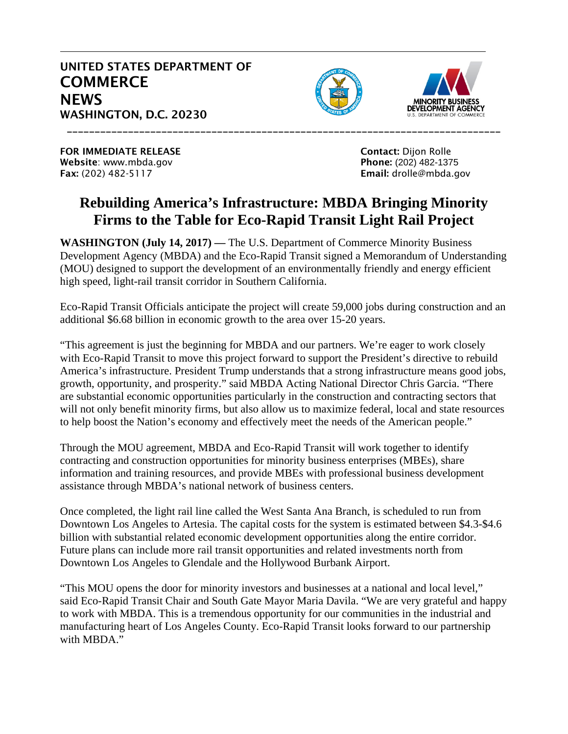



FOR IMMEDIATE RELEASE Contact: Dijon Rolle Website: www.mbda.gov example and the control of Phone: (202) 482-1375 Fax: (202) 482-5117 Email: drolle@mbda.gov

## **Rebuilding America's Infrastructure: MBDA Bringing Minority Firms to the Table for Eco-Rapid Transit Light Rail Project**

\_\_\_\_\_\_\_\_\_\_\_\_\_\_\_\_\_\_\_\_\_\_\_\_\_\_\_\_\_\_\_\_\_\_\_\_\_\_\_\_\_\_\_\_\_\_\_\_\_\_\_\_\_\_\_\_\_\_\_\_\_\_\_\_\_\_\_\_\_\_\_\_\_\_\_\_\_\_

**WASHINGTON (July 14, 2017) —** The U.S. Department of Commerce Minority Business Development Agency (MBDA) and the Eco-Rapid Transit signed a Memorandum of Understanding (MOU) designed to support the development of an environmentally friendly and energy efficient high speed, light-rail transit corridor in Southern California.

Eco-Rapid Transit Officials anticipate the project will create 59,000 jobs during construction and an additional \$6.68 billion in economic growth to the area over 15-20 years.

"This agreement is just the beginning for MBDA and our partners. We're eager to work closely with Eco-Rapid Transit to move this project forward to support the President's directive to rebuild America's infrastructure. President Trump understands that a strong infrastructure means good jobs, growth, opportunity, and prosperity." said MBDA Acting National Director Chris Garcia. "There are substantial economic opportunities particularly in the construction and contracting sectors that will not only benefit minority firms, but also allow us to maximize federal, local and state resources to help boost the Nation's economy and effectively meet the needs of the American people."

Through the MOU agreement, MBDA and Eco-Rapid Transit will work together to identify contracting and construction opportunities for minority business enterprises (MBEs), share information and training resources, and provide MBEs with professional business development assistance through MBDA's national network of business centers.

Once completed, the light rail line called the West Santa Ana Branch, is scheduled to run from Downtown Los Angeles to Artesia. The capital costs for the system is estimated between \$4.3-\$4.6 billion with substantial related economic development opportunities along the entire corridor. Future plans can include more rail transit opportunities and related investments north from Downtown Los Angeles to Glendale and the Hollywood Burbank Airport.

"This MOU opens the door for minority investors and businesses at a national and local level," said Eco-Rapid Transit Chair and South Gate Mayor Maria Davila. "We are very grateful and happy to work with MBDA. This is a tremendous opportunity for our communities in the industrial and manufacturing heart of Los Angeles County. Eco-Rapid Transit looks forward to our partnership with MBDA."